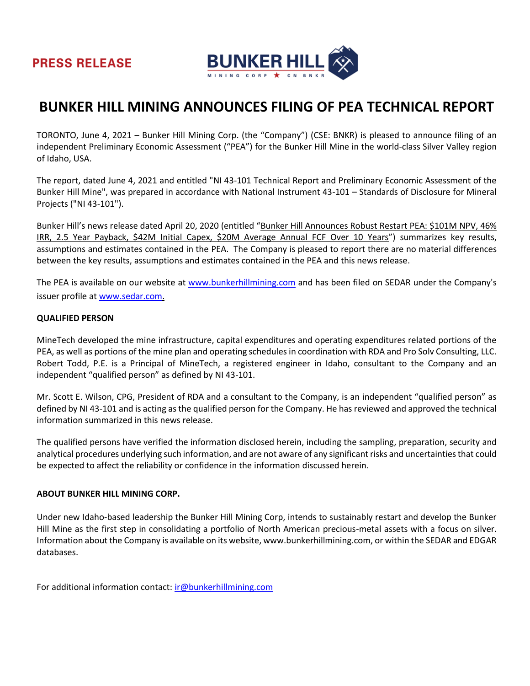



# **BUNKER HILL MINING ANNOUNCES FILING OF PEA TECHNICAL REPORT**

TORONTO, June 4, 2021 – Bunker Hill Mining Corp. (the "Company") (CSE: BNKR) is pleased to announce filing of an independent Preliminary Economic Assessment ("PEA") for the Bunker Hill Mine in the world-class Silver Valley region of Idaho, USA.

The report, dated June 4, 2021 and entitled "NI 43-101 Technical Report and Preliminary Economic Assessment of the Bunker Hill Mine", was prepared in accordance with National Instrument 43-101 – Standards of Disclosure for Mineral Projects ("NI 43-101").

Bunker Hill's news release dated April 20, 2020 (entitled "[Bunker Hill Announces Robust Restart PEA: \\$101M](https://www.bunkerhillmining.com/news-and-media/news-releases/bunker-hill-announces-robust-restart-pea-101m-npv-46-irr-25-year-payback-42m-initial-capex-20m-average-annual-fcf-over-10-years) NPV, 46% [IRR, 2.5 Year Payback, \\$42M](https://www.bunkerhillmining.com/news-and-media/news-releases/bunker-hill-announces-robust-restart-pea-101m-npv-46-irr-25-year-payback-42m-initial-capex-20m-average-annual-fcf-over-10-years) Initial Capex, \$20M Average Annual FCF Over 10 Years") summarizes key results, assumptions and estimates contained in the PEA. The Company is pleased to report there are no material differences between the key results, assumptions and estimates contained in the PEA and this news release.

The PEA is available on our website at [www.bunkerhillmining.com](http://www.bunkerhillmining.com/) and has been filed on SEDAR under the Company's issuer profile a[t www.sedar.com.](http://www.sedar.com/)

## **QUALIFIED PERSON**

MineTech developed the mine infrastructure, capital expenditures and operating expenditures related portions of the PEA, as well as portions of the mine plan and operating schedules in coordination with RDA and Pro Solv Consulting, LLC. Robert Todd, P.E. is a Principal of MineTech, a registered engineer in Idaho, consultant to the Company and an independent "qualified person" as defined by NI 43-101.

Mr. Scott E. Wilson, CPG, President of RDA and a consultant to the Company, is an independent "qualified person" as defined by NI 43-101 and is acting as the qualified person for the Company. He has reviewed and approved the technical information summarized in this news release.

The qualified persons have verified the information disclosed herein, including the sampling, preparation, security and analytical procedures underlying such information, and are not aware of any significant risks and uncertainties that could be expected to affect the reliability or confidence in the information discussed herein.

#### **ABOUT BUNKER HILL MINING CORP.**

Under new Idaho-based leadership the Bunker Hill Mining Corp, intends to sustainably restart and develop the Bunker Hill Mine as the first step in consolidating a portfolio of North American precious-metal assets with a focus on silver. Information about the Company is available on its website, www.bunkerhillmining.com, or within the SEDAR and EDGAR databases.

For additional information contact[: ir@bunkerhillmining.com](mailto:ir@bunkerhillmining.com)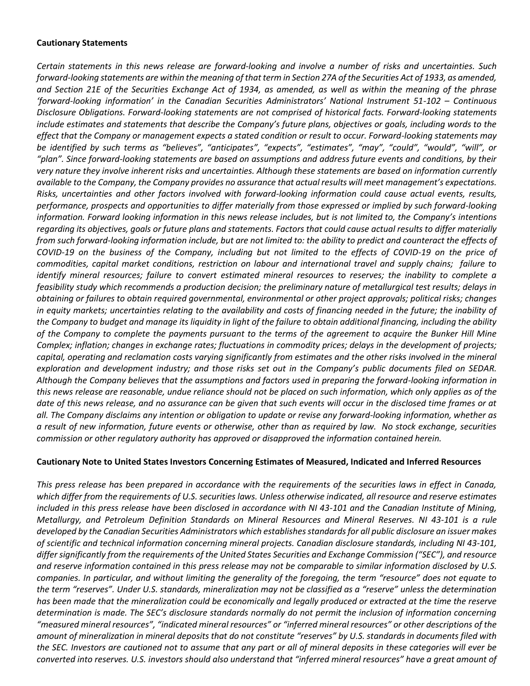## **Cautionary Statements**

*Certain statements in this news release are forward-looking and involve a number of risks and uncertainties. Such forward-looking statements are within the meaning of that term in Section 27A of the Securities Act of 1933, as amended, and Section 21E of the Securities Exchange Act of 1934, as amended, as well as within the meaning of the phrase 'forward-looking information' in the Canadian Securities Administrators' National Instrument 51-102 – Continuous Disclosure Obligations. Forward-looking statements are not comprised of historical facts. Forward-looking statements include estimates and statements that describe the Company's future plans, objectives or goals, including words to the effect that the Company or management expects a stated condition or result to occur. Forward-looking statements may be identified by such terms as "believes", "anticipates", "expects", "estimates", "may", "could", "would", "will", or "plan". Since forward-looking statements are based on assumptions and address future events and conditions, by their very nature they involve inherent risks and uncertainties. Although these statements are based on information currently available to the Company, the Company provides no assurance that actual results will meet management's expectations. Risks, uncertainties and other factors involved with forward-looking information could cause actual events, results, performance, prospects and opportunities to differ materially from those expressed or implied by such forward-looking information. Forward looking information in this news release includes, but is not limited to, the Company's intentions regarding its objectives, goals or future plans and statements. Factors that could cause actual results to differ materially from such forward-looking information include, but are not limited to: the ability to predict and counteract the effects of COVID-19 on the business of the Company, including but not limited to the effects of COVID-19 on the price of commodities, capital market conditions, restriction on labour and international travel and supply chains; failure to identify mineral resources; failure to convert estimated mineral resources to reserves; the inability to complete a feasibility study which recommends a production decision; the preliminary nature of metallurgical test results; delays in obtaining or failures to obtain required governmental, environmental or other project approvals; political risks; changes in equity markets; uncertainties relating to the availability and costs of financing needed in the future; the inability of the Company to budget and manage its liquidity in light of the failure to obtain additional financing, including the ability of the Company to complete the payments pursuant to the terms of the agreement to acquire the Bunker Hill Mine Complex; inflation; changes in exchange rates; fluctuations in commodity prices; delays in the development of projects; capital, operating and reclamation costs varying significantly from estimates and the other risks involved in the mineral exploration and development industry; and those risks set out in the Company's public documents filed on SEDAR. Although the Company believes that the assumptions and factors used in preparing the forward-looking information in this news release are reasonable, undue reliance should not be placed on such information, which only applies as of the date of this news release, and no assurance can be given that such events will occur in the disclosed time frames or at all. The Company disclaims any intention or obligation to update or revise any forward-looking information, whether as a result of new information, future events or otherwise, other than as required by law. No stock exchange, securities commission or other regulatory authority has approved or disapproved the information contained herein.*

# **Cautionary Note to United States Investors Concerning Estimates of Measured, Indicated and Inferred Resources**

This press release has been prepared in accordance with the requirements of the securities laws in effect in Canada, *which differ from the requirements of U.S. securities laws. Unless otherwise indicated, all resource and reserve estimates included in this press release have been disclosed in accordance with NI 43-101 and the Canadian Institute of Mining, Metallurgy, and Petroleum Definition Standards on Mineral Resources and Mineral Reserves. NI 43-101 is a rule developed by the Canadian Securities Administrators which establishes standards for all public disclosure an issuer makes of scientific and technical information concerning mineral projects. Canadian disclosure standards, including NI 43-101, differ significantly from the requirements of the United States Securities and Exchange Commission ("SEC"), and resource and reserve information contained in this press release may not be comparable to similar information disclosed by U.S. companies. In particular, and without limiting the generality of the foregoing, the term "resource" does not equate to the term "reserves". Under U.S. standards, mineralization may not be classified as a "reserve" unless the determination has been made that the mineralization could be economically and legally produced or extracted at the time the reserve determination is made. The SEC's disclosure standards normally do not permit the inclusion of information concerning "measured mineral resources", "indicated mineral resources" or "inferred mineral resources" or other descriptions of the amount of mineralization in mineral deposits that do not constitute "reserves" by U.S. standards in documents filed with the SEC. Investors are cautioned not to assume that any part or all of mineral deposits in these categories will ever be converted into reserves. U.S. investors should also understand that "inferred mineral resources" have a great amount of*